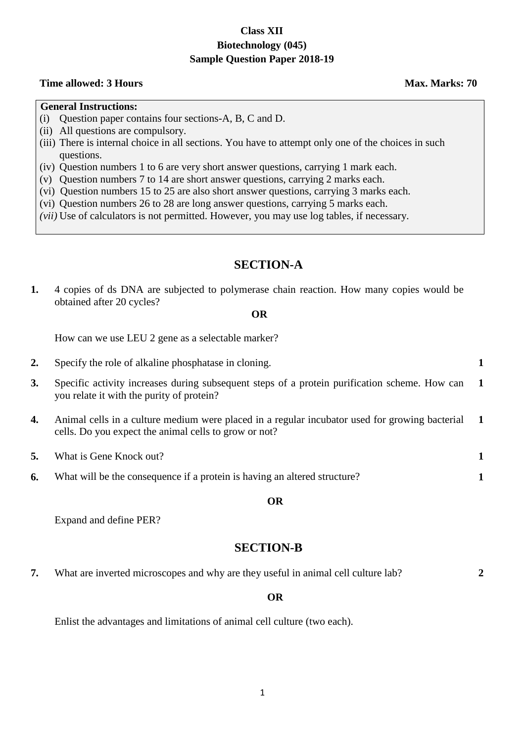# **Class XII Biotechnology (045) Sample Question Paper 2018-19**

# **Time allowed: 3 Hours Max. Marks: 70**

**2**

# **General Instructions:**

- (i) Question paper contains four sections-A, B, C and D.
- (ii) All questions are compulsory.
- (iii) There is internal choice in all sections. You have to attempt only one of the choices in such questions.
- (iv) Question numbers 1 to 6 are very short answer questions, carrying 1 mark each.
- (v) Question numbers 7 to 14 are short answer questions, carrying 2 marks each.
- (vi) Question numbers 15 to 25 are also short answer questions, carrying 3 marks each.
- (vi) Question numbers 26 to 28 are long answer questions, carrying 5 marks each.
- *(vii)* Use of calculators is not permitted. However, you may use log tables, if necessary*.*

# **SECTION-A**

**1.** 4 copies of ds DNA are subjected to polymerase chain reaction. How many copies would be obtained after 20 cycles?

# **OR**

How can we use LEU 2 gene as a selectable marker?

**2.** Specify the role of alkaline phosphatase in cloning. **1 3.** Specific activity increases during subsequent steps of a protein purification scheme. How can you relate it with the purity of protein? **1 4.** Animal cells in a culture medium were placed in a regular incubator used for growing bacterial cells. Do you expect the animal cells to grow or not? **1 5.** What is Gene Knock out? **1 6.** What will be the consequence if a protein is having an altered structure? **1**

# **OR**

Expand and define PER?

# **SECTION-B**

**7.** What are inverted microscopes and why are they useful in animal cell culture lab?

# **OR**

Enlist the advantages and limitations of animal cell culture (two each).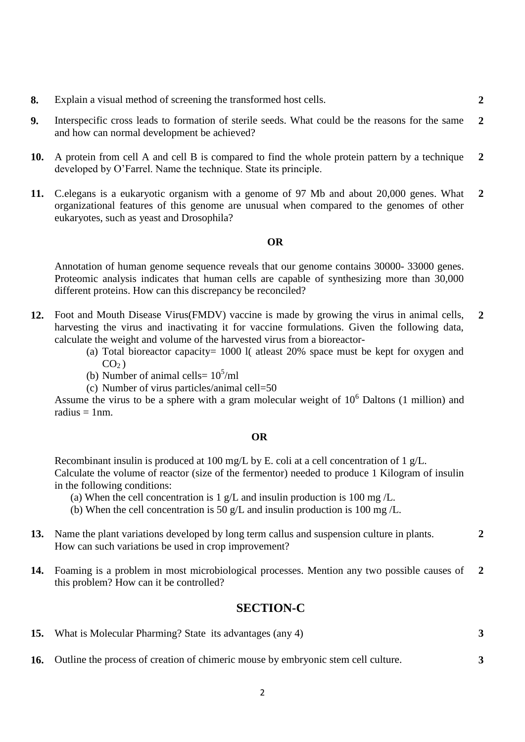- **8.** Explain a visual method of screening the transformed host cells. **2**
- **9.** Interspecific cross leads to formation of sterile seeds. What could be the reasons for the same and how can normal development be achieved? **2**
- **10.** A protein from cell A and cell B is compared to find the whole protein pattern by a technique developed by O'Farrel. Name the technique. State its principle. **2**
- **11.** C.elegans is a eukaryotic organism with a genome of 97 Mb and about 20,000 genes. What organizational features of this genome are unusual when compared to the genomes of other eukaryotes, such as yeast and Drosophila? **2**

# **OR**

Annotation of human genome sequence reveals that our genome contains 30000- 33000 genes. Proteomic analysis indicates that human cells are capable of synthesizing more than 30,000 different proteins. How can this discrepancy be reconciled?

- **12.** Foot and Mouth Disease Virus(FMDV) vaccine is made by growing the virus in animal cells, harvesting the virus and inactivating it for vaccine formulations. Given the following data, calculate the weight and volume of the harvested virus from a bioreactor- **2**
	- (a) Total bioreactor capacity= 1000 l( atleast 20% space must be kept for oxygen and  $CO<sub>2</sub>$ )
	- (b) Number of animal cells=  $10<sup>5</sup>/ml$
	- (c) Number of virus particles/animal cell=50

Assume the virus to be a sphere with a gram molecular weight of  $10<sup>6</sup>$  Daltons (1 million) and radius  $= 1$ nm.

#### **OR**

Recombinant insulin is produced at 100 mg/L by E. coli at a cell concentration of 1 g/L. Calculate the volume of reactor (size of the fermentor) needed to produce 1 Kilogram of insulin in the following conditions:

- (a) When the cell concentration is  $1 \text{ g/L}$  and insulin production is 100 mg/L.
- (b) When the cell concentration is 50 g/L and insulin production is 100 mg /L.
- **13.** Name the plant variations developed by long term callus and suspension culture in plants. How can such variations be used in crop improvement? **2**
- **14.** Foaming is a problem in most microbiological processes. Mention any two possible causes of this problem? How can it be controlled? **2**

# **SECTION-C**

- **15.** What is Molecular Pharming? State its advantages (any 4) **3**
- **16.** Outline the process of creation of chimeric mouse by embryonic stem cell culture. **3**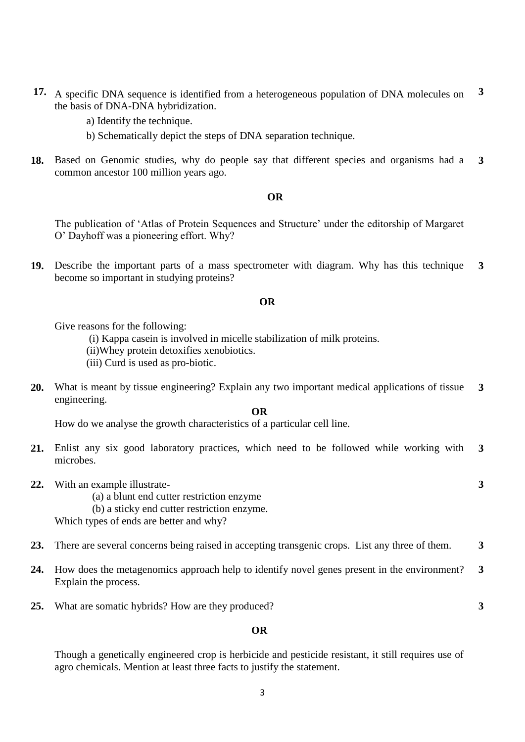- **17.** A specific DNA sequence is identified from a heterogeneous population of DNA molecules on the basis of DNA-DNA hybridization. **3**
	- a) Identify the technique.
	- b) Schematically depict the steps of DNA separation technique.
- **18.** Based on Genomic studies, why do people say that different species and organisms had a common ancestor 100 million years ago. **3**

#### **OR**

The publication of 'Atlas of Protein Sequences and Structure' under the editorship of Margaret O' Dayhoff was a pioneering effort. Why?

**19.** Describe the important parts of a mass spectrometer with diagram. Why has this technique become so important in studying proteins? **3**

### **OR**

Give reasons for the following:

(i) Kappa casein is involved in micelle stabilization of milk proteins.

(ii)Whey protein detoxifies xenobiotics.

- (iii) Curd is used as pro-biotic.
- **20.** What is meant by tissue engineering? Explain any two important medical applications of tissue engineering. **3**

## **OR**

How do we analyse the growth characteristics of a particular cell line.

**21.** Enlist any six good laboratory practices, which need to be followed while working with microbes. **3**

**3**

**3**

- **22.** With an example illustrate-
	- (a) a blunt end cutter restriction enzyme
	- (b) a sticky end cutter restriction enzyme.

Which types of ends are better and why?

- **23.** There are several concerns being raised in accepting transgenic crops. List any three of them. **3**
- **24.** How does the metagenomics approach help to identify novel genes present in the environment? Explain the process. **3**
- **25.** What are somatic hybrids? How are they produced?

# **OR**

Though a genetically engineered crop is herbicide and pesticide resistant, it still requires use of agro chemicals. Mention at least three facts to justify the statement.